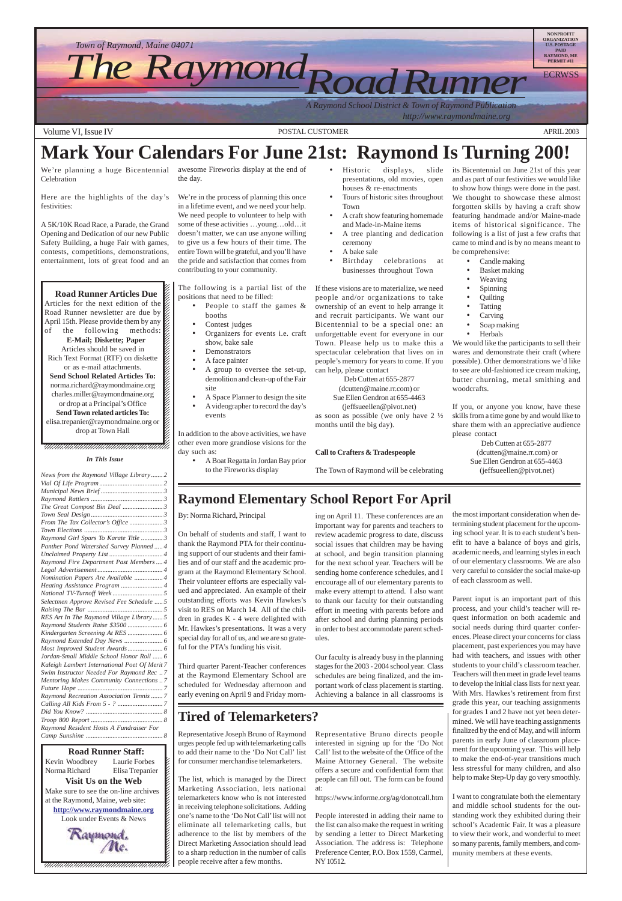Volume VI, Issue IV POSTAL CUSTOMER APRIL 2003





 $1235678901234567890123456789012345678901234567890123456789012345678901234567890123456789012345678901234567890123456789012345678901234567890123456789012345678901234567890123456789012345678901234567890123456789012345678901$  $1235678901234567890123456789012345678901234567890123456789012345678901234567890123456789012345678901234567890123456789012345678901234567890123456789012345678901234567890123456789012345678901234567890123456789012345678901$  $\blacksquare$ 12345678901234567890123456789012123456789012345678 12345678901234567890123456789012123456789012345678

- People to staff the games & booths
	- Contest judges
- Organizers for events i.e. craft show, bake sale
- **Demonstrators**
- A face painter
- A group to oversee the set-up, demolition and clean-up of the Fair site
- A Space Planner to design the site
- A videographer to record the day's events

as soon as possible (we only have  $2 \frac{1}{2}$ months until the big day).

- Candle making
- Basket making
- Weaving
- Spinning
- Quilting
- Tatting
- **Carving**
- Soap making
- Herbals

# **Mark Your Calendars For June 21st: Raymond Is Turning 200!**

We're planning a huge Bicentennial awesome Fireworks display at the end of Celebration

Here are the highlights of the day's festivities:

A 5K/10K Road Race, a Parade, the Grand Opening and Dedication of our new Public Safety Building, a huge Fair with games, contests, competitions, demonstrations, entertainment, lots of great food and an

#### 12345678901234567890123456789012345678901234567890123456789012345678901234567890123456789012345678901234567890 12345678901234567890123456789012345678901234567890123456789012345678901234567890123456789012345678901234567890 12345678901234567890123456789012123456789012345678 12345678901234567890123456789012123456789012345678 **Road Runner Articles Due**

Articles for the next edition of the  $\mathscr{C}$ Road Runner newsletter are due by  $\%$  $123458789$ April 15th. Please provide them by any  $\mathcal{Z}$ of the following methods: **E-Mail; Diskette; Paper** Articles should be saved in 12345678901234567890123456789012123456789012345678 Rich Text Format (RTF) on diskette  $\%$  $1235678901234567890123456789012345678901234567890123456789012345678901234567890123456789012345678901234567890123456789012345678901234567890123456789012345678901234567890123456789012345678901234567890123456789012345678901$ or as e-mail attachments.  $\%$  $1235678901234567890123456789012345678901234567890123456789012345678901234567890123456789012345678901234567890123456789012345678901234567890123456789012345678901234567890123456789012345678901234567890123456789012345678901$ **Send School Related Articles To:** norma.richard@raymondmaine.org charles.miller@raymondmaine.org or drop at a Principal's Office  $\mathbb{Z}$ **Send Town related articles To:** elisa.trepanier@raymondmaine.org or  $\mathscr{D}$  $\frac{d}{dt}$  drop at Town Hall the day.

We're in the process of planning this once in a lifetime event, and we need your help. We need people to volunteer to help with some of these activities …young…old…it doesn't matter, we can use anyone willing to give us a few hours of their time. The entire Town will be grateful, and you'll have the pride and satisfaction that comes from contributing to your community.

The following is a partial list of the positions that need to be filled:

In addition to the above activities, we have other even more grandiose visions for the day such as:

• A Boat Regatta in Jordan Bay prior to the Fireworks display

- Historic displays, slide presentations, old movies, open houses & re-enactments
- Tours of historic sites throughout Town
- A craft show featuring homemade and Made-in-Maine items
- A tree planting and dedication ceremony
- A bake sale
- Birthday celebrations at businesses throughout Town

If these visions are to materialize, we need people and/or organizations to take ownership of an event to help arrange it and recruit participants. We want our Bicentennial to be a special one: an unforgettable event for everyone in our Town. Please help us to make this a spectacular celebration that lives on in people's memory for years to come. If you can help, please contact

Deb Cutten at 655-2877

(dcutten@maine.rr.com) or Sue Ellen Gendron at 655-4463

(jeffsueellen@pivot.net)

#### **Call to Crafters & Tradespeople**

The Town of Raymond will be celebrating

its Bicentennial on June 21st of this year and as part of our festivities we would like to show how things were done in the past. We thought to showcase these almost forgotten skills by having a craft show featuring handmade and/or Maine-made items of historical significance. The following is a list of just a few crafts that came to mind and is by no means meant to be comprehensive:

We would like the participants to sell their wares and demonstrate their craft (where possible). Other demonstrations we'd like to see are old-fashioned ice cream making, butter churning, metal smithing and woodcrafts.

If you, or anyone you know, have these skills from a time gone by and would like to share them with an appreciative audience please contact

> Deb Cutten at 655-2877 (dcutten@maine.rr.com) or Sue Ellen Gendron at 655-4463 (jeffsueellen@pivot.net)

### **Tired of Telemarketers?**

Representative Joseph Bruno of Raymond urges people fed up with telemarketing calls to add their name to the 'Do Not Call' list for consumer merchandise telemarketers.

The list, which is managed by the Direct Marketing Association, lets national telemarketers know who is not interested in receiving telephone solicitations. Adding one's name to the 'Do Not Call' list will not eliminate all telemarketing calls, but adherence to the list by members of the Direct Marketing Association should lead to a sharp reduction in the number of calls people receive after a few months.

Representative Bruno directs people interested in signing up for the 'Do Not Call' list to the website of the Office of the Maine Attorney General. The website offers a secure and confidential form that people can fill out. The form can be found at:

https://www.informe.org/ag/donotcall.htm

People interested in adding their name to the list can also make the request in writing by sending a letter to Direct Marketing Association. The address is: Telephone Preference Center, P.O. Box 1559, Carmel, NY 10512.

### **Raymond Elementary School Report For April**

#### By: Norma Richard, Principal

On behalf of students and staff, I want to thank the Raymond PTA for their continuing support of our students and their families and of our staff and the academic program at the Raymond Elementary School. Their volunteer efforts are especially valued and appreciated. An example of their outstanding efforts was Kevin Hawkes's visit to RES on March 14. All of the children in grades K - 4 were delighted with Mr. Hawkes's presentations. It was a very special day for all of us, and we are so grateful for the PTA's funding his visit.

Third quarter Parent-Teacher conferences at the Raymond Elementary School are scheduled for Wednesday afternoon and early evening on April 9 and Friday morning on April 11. These conferences are an important way for parents and teachers to review academic progress to date, discuss social issues that children may be having at school, and begin transition planning for the next school year. Teachers will be sending home conference schedules, and I encourage all of our elementary parents to make every attempt to attend. I also want to thank our faculty for their outstanding effort in meeting with parents before and after school and during planning periods in order to best accommodate parent schedules.

Our faculty is already busy in the planning stages for the 2003 - 2004 school year. Class schedules are being finalized, and the important work of class placement is starting. Achieving a balance in all classrooms is the most important consideration when determining student placement for the upcoming school year. It is to each student's benefit to have a balance of boys and girls, academic needs, and learning styles in each of our elementary classrooms. We are also very careful to consider the social make-up of each classroom as well.

Parent input is an important part of this process, and your child's teacher will request information on both academic and social needs during third quarter conferences. Please direct your concerns for class placement, past experiences you may have had with teachers, and issues with other students to your child's classroom teacher. Teachers will then meet in grade level teams to develop the initial class lists for next year. With Mrs. Hawkes's retirement from first grade this year, our teaching assignments for grades 1 and 2 have not yet been determined. We will have teaching assignments finalized by the end of May, and will inform parents in early June of classroom placement for the upcoming year. This will help to make the end-of-year transitions much less stressful for many children, and also help to make Step-Up day go very smoothly.

I want to congratulate both the elementary and middle school students for the outstanding work they exhibited during their school's Academic Fair. It was a pleasure to view their work, and wonderful to meet so many parents, family members, and community members at these events.

#### *In This Issue*

| News from the Raymond Village Library 2       |  |
|-----------------------------------------------|--|
|                                               |  |
|                                               |  |
|                                               |  |
|                                               |  |
|                                               |  |
| From The Tax Collector's Office  3            |  |
|                                               |  |
| Raymond Girl Spars To Karate Title  3         |  |
| Panther Pond Watershed Survey Planned  4      |  |
|                                               |  |
| Raymond Fire Department Past Members 4        |  |
|                                               |  |
| Nomination Papers Are Available  4            |  |
| Heating Assistance Program  4                 |  |
|                                               |  |
| Selectmen Approve Revised Fee Schedule  5     |  |
|                                               |  |
| RES Art In The Raymond Village Library 5      |  |
|                                               |  |
|                                               |  |
|                                               |  |
|                                               |  |
| Jordan-Small Middle School Honor Roll  6      |  |
| Kaleigh Lambert International Poet Of Merit 7 |  |
| Swim Instructor Needed For Raymond Rec7       |  |
| Mentoring Makes Community Connections  7      |  |

| $\mu$ . There is a community connections $\mu$ |
|------------------------------------------------|
|                                                |
| Raymond Recreation Association Tennis  7       |
|                                                |
|                                                |
|                                                |
| Raymond Resident Hosts A Fundraiser For        |
|                                                |
|                                                |

**1234567801234567890123456789121234567890121234567890123456789012345678901234567890123456789012345678** 12345678901234567890123456789012123456789012345678 Kevin Woodbrey Laurie Forbes  $\boldsymbol{\xi}$ Norma Richard Elisa Trepanier  $\blacksquare$ **Visit Us on the Web** 12345678901234567890123456789012123456789012345678 Make sure to see the on-line archives  $\mathcal{L}$ at the Raymond, Maine, web site: **http://www.raymondmaine.org** 12345678901234567890123456789012123456789012345678 Look under Events & News  $\mathcal{L}$ 12345678901234567890123456789012123456789012345678  $18.8$  8  $18.8$  8  $18.8$  8  $18.8$  8  $18.8$  8  $18.8$  8  $18.8$  8  $18.8$  8  $18.8$  8  $18.8$  8  $18.8$  8  $18.8$  8  $18.8$  8  $18.8$  8  $18.8$  8  $18.8$  8  $18.8$  8  $18.8$  8  $18.8$  8  $18.8$  8  $18.8$  8  $18.8$  8  $18.8$  8  $18.8$  8  $18.8$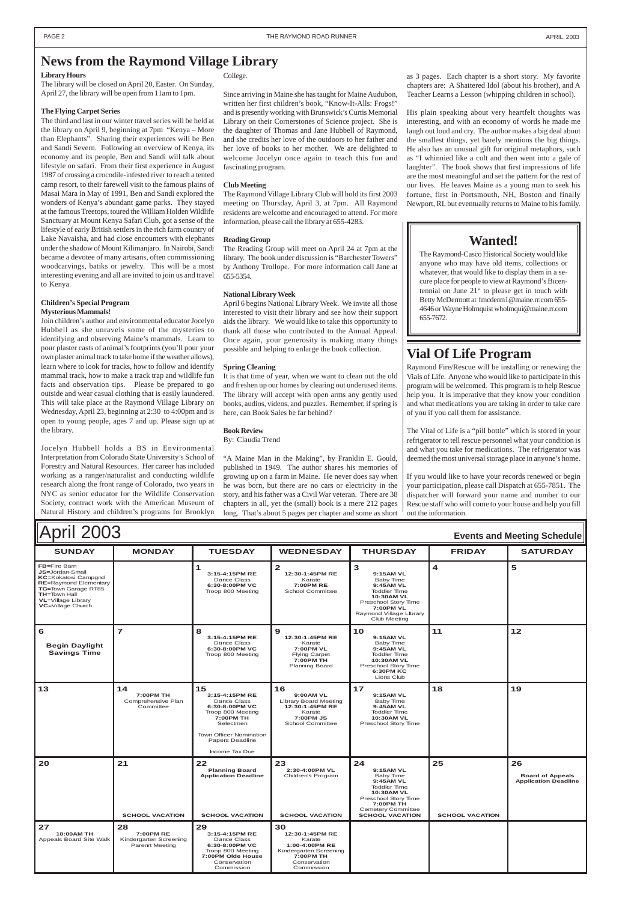| April 2003<br><b>Events and Meeting Schedule</b>                                                                                                                                                      |               |                                                                           |                                                                                                           |                                                                                                                                                                             |               |                 |
|-------------------------------------------------------------------------------------------------------------------------------------------------------------------------------------------------------|---------------|---------------------------------------------------------------------------|-----------------------------------------------------------------------------------------------------------|-----------------------------------------------------------------------------------------------------------------------------------------------------------------------------|---------------|-----------------|
| <b>SUNDAY</b>                                                                                                                                                                                         | <b>MONDAY</b> | <b>TUESDAY</b>                                                            | <b>WEDNESDAY</b>                                                                                          | <b>THURSDAY</b>                                                                                                                                                             | <b>FRIDAY</b> | <b>SATURDAY</b> |
| FB=Fire Barn<br><b>JS=Jordan-Small</b><br><b>KC=Kokatosi Campgnd</b><br><b>RE=Raymond Elementary</b><br>TG=Town Garage RT85<br><b>TH=Town Hall</b><br><b>VL</b> =Village Library<br>VC=Village Church |               | 3:15-4:15PM RE<br>Dance Class<br>6:30-8:00PM VC<br>Troop 800 Meeting      | 2<br>12:30-1:45PM RE<br>Karate<br><b>7:00PM RE</b><br>School Committee                                    | З<br>9:15AM VL<br>Baby Time<br>9:45AM VL<br><b>Toddler Time</b><br><b>10:30AM VL</b><br>Preschool Story Time<br><b>7:00PM VL</b><br>Raymond Village Library<br>Club Meeting | 4             | 5               |
| 6<br><b>Begin Daylight</b><br><b>Savings Time</b>                                                                                                                                                     |               | 8<br>3:15-4:15PM RE<br>Dance Class<br>6:30-8:00PM VC<br>Troop 800 Meeting | 9<br>12:30-1:45PM RE<br>Karate<br>7:00PM VL<br><b>Flying Carpet</b><br>7:00PM TH<br><b>Planning Board</b> | 10<br>9:15AM VL<br>Baby Time<br>9:45AM VL<br><b>Toddler Time</b><br><b>10:30AM VL</b><br>Preschool Story Time<br>6:30PM KC<br>Lions Club                                    | 11            | 12              |

| 13                                                 | 14<br>7:00PM TH<br>Comprehensive Plan<br>Committee                         | 15<br>3:15-4:15PM RE<br>Dance Class<br>6:30-8:00PM VC<br>Troop 800 Meeting<br><b>7:00PM TH</b><br>Selectmen<br>Town Officer Nomination<br>Papers Deadline<br>Income Tax Due | 16<br>9:00AM VL<br><b>Library Board Meeting</b><br>12:30-1:45PM RE<br>Karate<br>7:00PM JS<br>School Committee                 | 17<br>9:15AM VL<br>Baby Time<br>9:45AM VL<br><b>Toddler Time</b><br><b>10:30AM VL</b><br>Preschool Story Time                                                                            | 18                           | 19                                                           |
|----------------------------------------------------|----------------------------------------------------------------------------|-----------------------------------------------------------------------------------------------------------------------------------------------------------------------------|-------------------------------------------------------------------------------------------------------------------------------|------------------------------------------------------------------------------------------------------------------------------------------------------------------------------------------|------------------------------|--------------------------------------------------------------|
| 20                                                 | 21<br><b>SCHOOL VACATION</b>                                               | 22<br><b>Planning Board</b><br><b>Application Deadline</b><br><b>SCHOOL VACATION</b>                                                                                        | 23<br>2:30-4:00PM VL<br>Children's Program<br><b>SCHOOL VACATION</b>                                                          | 24<br>9:15AM VL<br>Baby Time<br>9:45AM VL<br><b>Toddler Time</b><br><b>10:30AM VL</b><br>Preschool Story Time<br><b>7:00PM TH</b><br><b>Cemetery Committee</b><br><b>SCHOOL VACATION</b> | 25<br><b>SCHOOL VACATION</b> | 26<br><b>Board of Appeals</b><br><b>Application Deadline</b> |
| 27<br><b>10:00AM TH</b><br>Appeals Board Site Walk | 28<br><b>7:00PM RE</b><br>Kindergarten Screening<br><b>Parenrt Meeting</b> | 29<br>3:15-4:15PM RE<br>Dance Class<br>6:30-8:00PM VC<br>Troop 800 Meeting<br>7:00PM Olde House<br>Conservation<br>Commission                                               | 30<br>12:30-1:45PM RE<br>Karate<br>1:00-4:00PM RE<br>Kindergarten Screening<br><b>7:00PM TH</b><br>Conservation<br>Commission |                                                                                                                                                                                          |                              |                                                              |

### <span id="page-1-0"></span>**News from the Raymond Village Library**

#### **Library Hours**

The library will be closed on April 20, Easter. On Sunday, April 27, the library will be open from 11am to 1pm.

#### **The Flying Carpet Series**

The third and last in our winter travel series will be held at the library on April 9, beginning at 7pm "Kenya – More than Elephants". Sharing their experiences will be Ben and Sandi Severn. Following an overview of Kenya, its economy and its people, Ben and Sandi will talk about lifestyle on safari. From their first experience in August 1987 of crossing a crocodile-infested river to reach a tented camp resort, to their farewell visit to the famous plains of Masai Mara in May of 1991, Ben and Sandi explored the wonders of Kenya's abundant game parks. They stayed at the famous Treetops, toured the William Holden Wildlife Sanctuary at Mount Kenya Safari Club, got a sense of the lifestyle of early British settlers in the rich farm country of Lake Navaisha, and had close encounters with elephants under the shadow of Mount Kilimanjaro. In Nairobi, Sandi became a devotee of many artisans, often commissioning woodcarvings, batiks or jewelry. This will be a most interesting evening and all are invited to join us and travel to Kenya.

### **Children's Special Program**

**Mysterious Mammals!**

Join children's author and environmental educator Jocelyn Hubbell as she unravels some of the mysteries to identifying and observing Maine's mammals. Learn to pour plaster casts of animal's footprints (you'll pour your own plaster animal track to take home if the weather allows), learn where to look for tracks, how to follow and identify mammal track, how to make a track trap and wildlife fun facts and observation tips. Please be prepared to go outside and wear casual clothing that is easily laundered. This will take place at the Raymond Village Library on Wednesday, April 23, beginning at 2:30 to 4:00pm and is open to young people, ages 7 and up. Please sign up at the library.

Jocelyn Hubbell holds a BS in Environmental Interpretation from Colorado State University's School of Forestry and Natural Resources. Her career has included working as a ranger/naturalist and conducting wildlife research along the front range of Colorado, two years in NYC as senior educator for the Wildlife Conservation Society, contract work with the American Museum of Natural History and children's programs for Brooklyn

### **Vial Of Life Program**

Raymond Fire/Rescue will be installing or renewing the Vials of Life. Anyone who would like to participate in this program will be welcomed. This program is to help Rescue help you. It is imperative that they know your condition and what medications you are taking in order to take care of you if you call them for assistance.

The Vital of Life is a "pill bottle" which is stored in your refrigerator to tell rescue personnel what your condition is and what you take for medications. The refrigerator was deemed the most universal storage place in anyone's home.

If you would like to have your records renewed or begin your participation, please call Dispatch at 655-7851. The dispatcher will forward your name and number to our Rescue staff who will come to your house and help you fill out the information.

College.

Since arriving in Maine she has taught for Maine Audubon, written her first children's book, "Know-It-Alls: Frogs!" and is presently working with Brunswick's Curtis Memorial Library on their Cornerstones of Science project. She is the daughter of Thomas and Jane Hubbell of Raymond, and she credits her love of the outdoors to her father and her love of books to her mother. We are delighted to welcome Jocelyn once again to teach this fun and fascinating program.

#### **Club Meeting**

The Raymond Village Library Club will hold its first 2003 meeting on Thursday, April 3, at 7pm. All Raymond residents are welcome and encouraged to attend. For more information, please call the library at 655-4283.

#### **Reading Group**

The Reading Group will meet on April 24 at 7pm at the library. The book under discussion is "Barchester Towers" by Anthony Trollope. For more information call Jane at 655-5354.

#### **National Library Week**

April 6 begins National Library Week. We invite all those interested to visit their library and see how their support aids the library. We would like to take this opportunity to thank all those who contributed to the Annual Appeal. Once again, your generosity is making many things possible and helping to enlarge the book collection.

#### **Spring Cleaning**

It is that time of year, when we want to clean out the old and freshen up our homes by clearing out underused items. The library will accept with open arms any gently used books, audios, videos, and puzzles. Remember, if spring is here, can Book Sales be far behind?

#### **Book Review**

By: Claudia Trend

"A Maine Man in the Making", by Franklin E. Gould, published in 1949. The author shares his memories of growing up on a farm in Maine. He never does say when he was born, but there are no cars or electricity in the story, and his father was a Civil War veteran. There are 38 chapters in all, yet the (small) book is a mere 212 pages long. That's about 5 pages per chapter and some as short

as 3 pages. Each chapter is a short story. My favorite chapters are: A Shattered Idol (about his brother), and A Teacher Learns a Lesson (whipping children in school).

His plain speaking about very heartfelt thoughts was interesting, and with an economy of words he made me laugh out loud and cry. The author makes a big deal about the smallest things, yet barely mentions the big things. He also has an unusual gift for original metaphors, such as "I whinnied like a colt and then went into a gale of laughter". The book shows that first impressions of life are the most meaningful and set the pattern for the rest of our lives. He leaves Maine as a young man to seek his fortune, first in Portsmouth, NH, Boston and finally Newport, RI, but eventually returns to Maine to his family.

### **Wanted!**

The Raymond-Casco Historical Society would like anyone who may have old items, collections or whatever, that would like to display them in a secure place for people to view at Raymond's Bicentennial on June  $21<sup>st</sup>$  to please get in touch with Betty McDermott at fmcderm1@maine.rr.com 655- 4646 or Wayne Holmquist wholmqui@maine.rr.com 655-7672.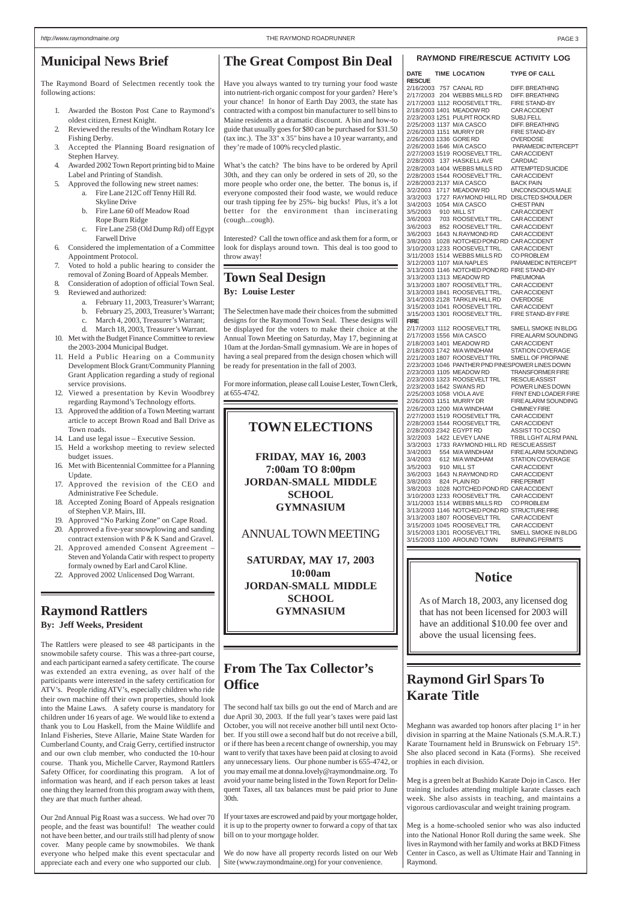### **RAYMOND FIRE/RESCUE ACTIVITY LOG**

| <b>DATE</b><br><b>RESCUE</b> | <b>TIME LOCATION</b>                                      | <b>TYPE OF CALL</b>                              |
|------------------------------|-----------------------------------------------------------|--------------------------------------------------|
|                              | 2/16/2003 757 CANAL RD                                    | DIFF. BREATHING                                  |
|                              | 2/17/2003 204 WEBBS MILLS RD                              | <b>DIFF, BREATHING</b>                           |
|                              | 2/17/2003 1112 ROOSEVELTTRL.                              | FIRE STAND-BY                                    |
|                              | 2/18/2003 1401 MEADOW RD                                  | <b>CAR ACCIDENT</b>                              |
|                              | 2/23/2003 1251 PULPIT ROCK RD                             | SUBJ.FELL                                        |
|                              | 2/25/2003 1137 M/A CASCO                                  | <b>DIFF. BREATHING</b>                           |
|                              | 2/26/2003 1151 MURRY DR                                   | <b>FIRE STAND-BY</b>                             |
| 2/26/2003 1336 GORE RD       |                                                           | <b>OVERDOSE</b>                                  |
|                              | 2/26/2003 1646 M/A CASCO                                  | PARAMEDIC INTERCEPT                              |
|                              | 2/27/2003 1519 ROOSEVELTTRL.                              | <b>CAR ACCIDENT</b>                              |
|                              | 2/28/2003 137 HASKELLAVE                                  | <b>CARDIAC</b>                                   |
|                              | 2/28/2003 1404 WEBBS MILLS RD                             | <b>ATTEMPTED SUICIDE</b>                         |
|                              | 2/28/2003 1544 ROOSEVELTTRL.                              | <b>CAR ACCIDENT</b>                              |
|                              | 2/28/2003 2137 M/A CASCO                                  | <b>BACK PAIN</b>                                 |
|                              | 3/2/2003 1717 MEADOW RD                                   | UNCONSCIOUS MALE                                 |
|                              | 3/3/2003 1727 RAYMOND HILL RD                             | <b>DISLCTED SHOULDER</b>                         |
|                              | 3/4/2003 1054 M/A CASCO                                   | <b>CHEST PAIN</b>                                |
| 3/5/2003 910 MILL ST         |                                                           | <b>CAR ACCIDENT</b>                              |
|                              | 3/6/2003 703 ROOSEVELTTRL.                                | <b>CAR ACCIDENT</b>                              |
|                              | 3/6/2003 852 ROOSEVELTTRL.                                | <b>CAR ACCIDENT</b>                              |
|                              | 3/6/2003 1643 N.RAYMOND RD                                | CAR ACCIDENT                                     |
|                              | 3/8/2003 1028 NOTCHED POND RD CAR ACCIDENT                |                                                  |
|                              | 3/10/2003 1233 ROOSEVELTTRL.                              | CAR ACCIDENT                                     |
|                              | 3/11/2003 1514 WEBBS MILLS RD                             | <b>CO PROBLEM</b>                                |
|                              | 3/12/2003 1107 M/A NAPLES                                 | PARAMEDIC INTERCEPT                              |
|                              | 3/13/2003 1146 NOTCHED POND RD FIRE STAND-BY              |                                                  |
|                              | 3/13/2003 1313 MEADOW RD                                  | <b>PNEUMONIA</b>                                 |
|                              | 3/13/2003 1807 ROOSEVELTTRL.                              | CAR ACCIDENT                                     |
|                              | 3/13/2003 1841 ROOSEVELTTRL.                              | <b>CAR ACCIDENT</b>                              |
|                              | 3/14/2003 2128 TARKLIN HILL RD                            | <b>OVERDOSE</b>                                  |
|                              | 3/15/2003 1041 ROOSEVELTTRL.                              | <b>CAR ACCIDENT</b>                              |
| 3/15/2003 1301               | ROOSEVELT TRL.                                            | <b>FIRE STAND-BY FIRE</b>                        |
| <b>FIRE</b>                  |                                                           |                                                  |
|                              | 2/17/2003 1112 ROOSEVELTTRL                               | SMELL SMOKE IN BLDG                              |
|                              | 2/17/2003 1556 M/A CASCO                                  | <b>FIRE ALARM SOUNDING</b>                       |
|                              | 2/18/2003 1401 MEADOW RD                                  | <b>CAR ACCIDENT</b>                              |
|                              | 2/18/2003 1742 M/A WINDHAM                                | <b>STATION COVERAGE</b>                          |
|                              | 2/21/2003 1807 ROOSEVELTTRL                               | SMELL OF PROPANE                                 |
|                              |                                                           | 2/23/2003 1046 PANTHER PND PINESPOWER LINES DOWN |
|                              | 2/23/2003 1105 MEADOW RD                                  | <b>TRANSFORMER FIRE</b>                          |
|                              | 2/23/2003 1323 ROOSEVELTTRL                               | <b>RESCUE ASSIST</b>                             |
|                              | 2/23/2003 1642 SWANS RD                                   | POWER LINES DOWN                                 |
|                              | 2/25/2003 1058 VIOLA AVE                                  | <b>FRNT END LOADER FIRE</b>                      |
|                              | 2/26/2003 1151 MURRY DR                                   | FIRE ALARM SOUNDING                              |
|                              | 2/26/2003 1200 M/A WINDHAM<br>2/27/2003 1519 ROOSEVELTTRL | <b>CHIMNEY FIRE</b><br>CAR ACCIDENT              |
|                              | 2/28/2003 1544 ROOSEVELTTRL                               | <b>CAR ACCIDENT</b>                              |
|                              | 2/28/2003 2342 EGYPT RD                                   | ASSIST TO CCSO                                   |
|                              | 3/2/2003 1422 LEVEY LANE                                  | TRBL LGHT ALRM PANL                              |
|                              | 3/3/2003 1733 RAYMOND HILL RD RESCUE ASSIST               |                                                  |
|                              | 3/4/2003 554 M/A WINDHAM                                  | <b>FIRE ALARM SOUNDING</b>                       |
|                              | 3/4/2003 612 M/A WINDHAM                                  | <b>STATION COVERAGE</b>                          |
| 3/5/2003                     | 910 MILL ST                                               | <b>CAR ACCIDENT</b>                              |
| 3/6/2003                     | 1643 N.RAYMOND RD                                         | <b>CAR ACCIDENT</b>                              |
| 3/8/2003 824 PLAIN RD        |                                                           | <b>FIRE PERMIT</b>                               |
|                              | 3/8/2003 1028 NOTCHED POND RD CAR ACCIDENT                |                                                  |
|                              | 3/10/2003 1233 ROOSEVELTTRL                               | <b>CAR ACCIDENT</b>                              |
|                              | 3/11/2003 1514 WEBBS MILLS RD                             | <b>CO PROBLEM</b>                                |
|                              | 3/13/2003 1146 NOTCHED POND RD STRUCTURE FIRE             |                                                  |
|                              | 3/13/2003 1807 ROOSEVELTTRL                               | <b>CAR ACCIDENT</b>                              |
|                              | 3/15/2003 1045 ROOSEVELTTRL                               | <b>CAR ACCIDENT</b>                              |
|                              | 3/15/2003 1301 ROOSEVELTTRL                               | SMELL SMOKE IN BLDG                              |
|                              | 3/15/2003 1100 AROUND TOWN                                | <b>BURNING PERMITS</b>                           |

### **The Great Compost Bin Deal**

Have you always wanted to try turning your food waste into nutrient-rich organic compost for your garden? Here's your chance! In honor of Earth Day 2003, the state has contracted with a compost bin manufacturer to sell bins to Maine residents at a dramatic discount. A bin and how-to guide that usually goes for \$80 can be purchased for \$31.50 (tax inc.). The 33" x 35" bins have a 10 year warranty, and they're made of 100% recycled plastic.

What's the catch? The bins have to be ordered by April 30th, and they can only be ordered in sets of 20, so the more people who order one, the better. The bonus is, if everyone composted their food waste, we would reduce our trash tipping fee by 25%- big bucks! Plus, it's a lot better for the environment than incinerating (cough...cough).

Interested? Call the town office and ask them for a form, or look for displays around town. This deal is too good to throw away!

### **Notice**

As of March 18, 2003, any licensed dog that has not been licensed for 2003 will have an additional \$10.00 fee over and above the usual licensing fees.

<span id="page-2-0"></span>The Raymond Board of Selectmen recently took the following actions:

> Meghann was awarded top honors after placing  $1<sup>st</sup>$  in her division in sparring at the Maine Nationals (S.M.A.R.T.) Karate Tournament held in Brunswick on February 15<sup>th</sup>. She also placed second in Kata (Forms). She received trophies in each division.

- 1. Awarded the Boston Post Cane to Raymond's oldest citizen, Ernest Knight.
- 2. Reviewed the results of the Windham Rotary Ice Fishing Derby.
- 3. Accepted the Planning Board resignation of Stephen Harvey.
- Awarded 2002 Town Report printing bid to Maine Label and Printing of Standish.
- Approved the following new street names:
	- a. Fire Lane 212C off Tenny Hill Rd. Skyline Drive
		- b. Fire Lane 60 off Meadow Road Rope Burn Ridge
		- c. Fire Lane 258 (Old Dump Rd) off Egypt Farwell Drive
- 6. Considered the implementation of a Committee Appointment Protocol.
- 7. Voted to hold a public hearing to consider the removal of Zoning Board of Appeals Member.
- 8. Consideration of adoption of official Town Seal.
- 9. Reviewed and authorized:
	- a. February 11, 2003, Treasurer's Warrant;
	- b. February 25, 2003, Treasurer's Warrant;
	- c. March 4, 2003, Treasurer's Warrant;
- d. March 18, 2003, Treasurer's Warrant. 10. Met with the Budget Finance Committee to review the 2003-2004 Municipal Budget.
- 11. Held a Public Hearing on a Community Development Block Grant/Community Planning Grant Application regarding a study of regional service provisions.
- 12. Viewed a presentation by Kevin Woodbrey regarding Raymond's Technology efforts.
- 13. Approved the addition of a Town Meeting warrant article to accept Brown Road and Ball Drive as Town roads.
- 14. Land use legal issue Executive Session.
- 15. Held a workshop meeting to review selected budget issues.
- 16. Met with Bicentennial Committee for a Planning Update.
- 17. Approved the revision of the CEO and Administrative Fee Schedule.
- 18. Accepted Zoning Board of Appeals resignation of Stephen V.P. Mairs, III.
- 19. Approved "No Parking Zone" on Cape Road.
- 20. Approved a five-year snowplowing and sanding contract extension with P & K Sand and Gravel.
- 21. Approved amended Consent Agreement Steven and Yolanda Catir with respect to property formaly owned by Earl and Carol Kline.
- 22. Approved 2002 Unlicensed Dog Warrant.

# **From The Tax Collector's**

**Office**

The second half tax bills go out the end of March and are due April 30, 2003. If the full year's taxes were paid last October, you will not receive another bill until next October. If you still owe a second half but do not receive a bill, or if there has been a recent change of ownership, you may want to verify that taxes have been paid at closing to avoid any unnecessary liens. Our phone number is 655-4742, or you may email me at donna.lovely@raymondmaine.org. To avoid your name being listed in the Town Report for Delinquent Taxes, all tax balances must be paid prior to June 30th.

If your taxes are escrowed and paid by your mortgage holder, it is up to the property owner to forward a copy of that tax bill on to your mortgage holder.

We do now have all property records listed on our Web Site (www.raymondmaine.org) for your convenience.

### **TOWN ELECTIONS**

**FRIDAY, MAY 16, 2003 7:00am TO 8:00pm JORDAN-SMALL MIDDLE SCHOOL GYMNASIUM**

ANNUAL TOWN MEETING

**SATURDAY, MAY 17, 2003 10:00am JORDAN-SMALL MIDDLE SCHOOL GYMNASIUM**

# **Town Seal Design**

**By: Louise Lester**

The Selectmen have made their choices from the submitted designs for the Raymond Town Seal. These designs will be displayed for the voters to make their choice at the Annual Town Meeting on Saturday, May 17, beginning at 10am at the Jordan-Small gymnasium. We are in hopes of having a seal prepared from the design chosen which will be ready for presentation in the fall of 2003.

For more information, please call Louise Lester, Town Clerk, at 655-4742.

### **Raymond Rattlers By: Jeff Weeks, President**

The Rattlers were pleased to see 48 participants in the snowmobile safety course. This was a three-part course, and each participant earned a safety certificate. The course was extended an extra evening, as over half of the participants were interested in the safety certification for ATV's. People riding ATV's, especially children who ride their own machine off their own properties, should look into the Maine Laws. A safety course is mandatory for children under 16 years of age. We would like to extend a thank you to Lou Haskell, from the Maine Wildlife and Inland Fisheries, Steve Allarie, Maine State Warden for Cumberland County, and Craig Gerry, certified instructor and our own club member, who conducted the 10-hour course. Thank you, Michelle Carver, Raymond Rattlers Safety Officer, for coordinating this program. A lot of information was heard, and if each person takes at least one thing they learned from this program away with them, they are that much further ahead.

Our 2nd Annual Pig Roast was a success. We had over 70 people, and the feast was bountiful! The weather could not have been better, and our trails still had plenty of snow cover. Many people came by snowmobiles. We thank everyone who helped make this event spectacular and appreciate each and every one who supported our club.

### **Raymond Girl Spars To Karate Title**

Meg is a green belt at Bushido Karate Dojo in Casco. Her training includes attending multiple karate classes each week. She also assists in teaching, and maintains a vigorous cardiovascular and weight training program.

Meg is a home-schooled senior who was also inducted into the National Honor Roll during the same week. She lives in Raymond with her family and works at BKD Fitness Center in Casco, as well as Ultimate Hair and Tanning in Raymond.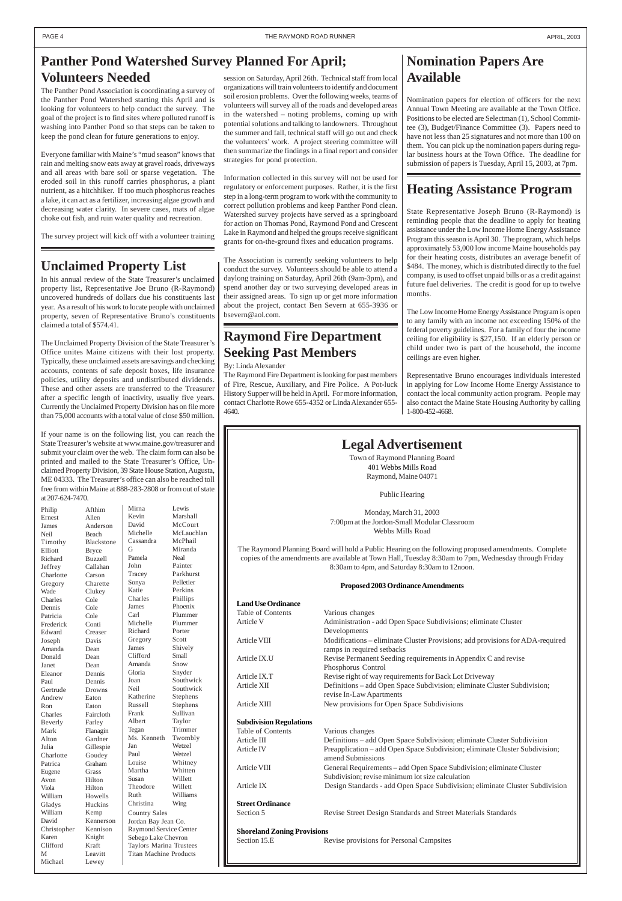## **Raymond Fire Department Seeking Past Members**

#### By: Linda Alexander

The Raymond Fire Department is looking for past members of Fire, Rescue, Auxiliary, and Fire Police. A Pot-luck History Supper will be held in April. For more information, contact Charlotte Rowe 655-4352 or Linda Alexander 655- 4640.

## **Heating Assistance Program**

State Representative Joseph Bruno (R-Raymond) is reminding people that the deadline to apply for heating assistance under the Low Income Home Energy Assistance Program this season is April 30. The program, which helps approximately 53,000 low income Maine households pay for their heating costs, distributes an average benefit of \$484. The money, which is distributed directly to the fuel company, is used to offset unpaid bills or as a credit against future fuel deliveries. The credit is good for up to twelve months.

The Low Income Home Energy Assistance Program is open to any family with an income not exceeding 150% of the federal poverty guidelines. For a family of four the income ceiling for eligibility is \$27,150. If an elderly person or child under two is part of the household, the income ceilings are even higher.

Article XII Definitions – add Open Space Subdivision; eliminate Cluster Subdivision; revise In-Law Apartments Article XIII New provisions for Open Space Subdivisions **Subdivision Regulations** Table of Contents Various changes Article III Definitions – add Open Space Subdivision; eliminate Cluster Subdivision Article IV Preapplication – add Open Space Subdivision; eliminate Cluster Subdivision; amend Submissions Article VIII General Requirements – add Open Space Subdivision; eliminate Cluster Subdivision; revise minimum lot size calculation Article IX Design Standards - add Open Space Subdivision; eliminate Cluster Subdivision **Street Ordinance** Section 5 Revise Street Design Standards and Street Materials Standards **Shoreland Zoning Provisions** Section 15.E Revise provisions for Personal Campsites

Representative Bruno encourages individuals interested in applying for Low Income Home Energy Assistance to contact the local community action program. People may also contact the Maine State Housing Authority by calling 1-800-452-4668.

### **Legal Advertisement**

Town of Raymond Planning Board 401 Webbs Mills Road Raymond, Maine 04071

Public Hearing

Monday, March 31, 2003 7:00pm at the Jordon-Small Modular Classroom Webbs Mills Road

The Raymond Planning Board will hold a Public Hearing on the following proposed amendments. Complete copies of the amendments are available at Town Hall, Tuesday 8:30am to 7pm, Wednesday through Friday 8:30am to 4pm, and Saturday 8:30am to 12noon.

#### **Proposed 2003 Ordinance Amendments**

| <b>Land Use Ordinance</b> |                                                                                                             |
|---------------------------|-------------------------------------------------------------------------------------------------------------|
| Table of Contents         | Various changes                                                                                             |
| Article V                 | Administration - add Open Space Subdivisions; eliminate Cluster                                             |
|                           | Developments                                                                                                |
| Article VIII              | Modifications – eliminate Cluster Provisions; add provisions for ADA-required<br>ramps in required setbacks |
| Article IX.U              | Revise Permanent Seeding requirements in Appendix C and revise                                              |
|                           | Phosphorus Control                                                                                          |
| Article IX.T              | Revise right of way requirements for Back Lot Driveway                                                      |
|                           |                                                                                                             |

### <span id="page-3-0"></span>**Panther Pond Watershed Survey Planned For April; Volunteers Needed**

The Panther Pond Association is coordinating a survey of the Panther Pond Watershed starting this April and is looking for volunteers to help conduct the survey. The goal of the project is to find sites where polluted runoff is washing into Panther Pond so that steps can be taken to keep the pond clean for future generations to enjoy.

Everyone familiar with Maine's "mud season" knows that rain and melting snow eats away at gravel roads, driveways and all areas with bare soil or sparse vegetation. The eroded soil in this runoff carries phosphorus, a plant nutrient, as a hitchhiker. If too much phosphorus reaches a lake, it can act as a fertilizer, increasing algae growth and decreasing water clarity. In severe cases, mats of algae choke out fish, and ruin water quality and recreation.

The survey project will kick off with a volunteer training

session on Saturday, April 26th. Technical staff from local organizations will train volunteers to identify and document soil erosion problems. Over the following weeks, teams of volunteers will survey all of the roads and developed areas in the watershed – noting problems, coming up with potential solutions and talking to landowners. Throughout the summer and fall, technical staff will go out and check the volunteers' work. A project steering committee will then summarize the findings in a final report and consider strategies for pond protection.

Information collected in this survey will not be used for regulatory or enforcement purposes. Rather, it is the first step in a long-term program to work with the community to correct pollution problems and keep Panther Pond clean. Watershed survey projects have served as a springboard for action on Thomas Pond, Raymond Pond and Crescent Lake in Raymond and helped the groups receive significant grants for on-the-ground fixes and education programs.

The Association is currently seeking volunteers to help conduct the survey. Volunteers should be able to attend a daylong training on Saturday, April 26th (9am-3pm), and spend another day or two surveying developed areas in their assigned areas. To sign up or get more information about the project, contact Ben Severn at 655-3936 or bsevern@aol.com.

| Philip      | Afthim            | Mirna                         | Lewis      |  |
|-------------|-------------------|-------------------------------|------------|--|
| Ernest      | Allen             | Kevin                         | Marshall   |  |
| James       | Anderson          | David                         | McCourt    |  |
| <b>Neil</b> | Beach             | Michelle                      | McLauchlan |  |
| Timothy     | <b>Blackstone</b> | Cassandra                     | McPhail    |  |
| Elliott     | <b>Bryce</b>      | G                             | Miranda    |  |
| Richard     | <b>Buzzell</b>    | Pamela                        | Neal       |  |
| Jeffrey     | Callahan          | John                          | Painter    |  |
| Charlotte   | Carson            | Tracey                        | Parkhurst  |  |
| Gregory     | Charette          | Sonya                         | Pelletier  |  |
| Wade        | Clukey            | Katie                         | Perkins    |  |
| Charles     | Cole              | Charles                       | Phillips   |  |
| Dennis      | Cole              | James                         | Phoenix    |  |
| Patricia    | Cole              | Carl                          | Plummer    |  |
| Frederick   | Conti             | Michelle                      | Plummer    |  |
| Edward      | Creaser           | Richard                       | Porter     |  |
| Joseph      | Davis             | Gregory                       | Scott      |  |
| Amanda      | Dean              | James                         | Shively    |  |
| Donald      | Dean              | Clifford                      | Small      |  |
| Janet       | Dean              | Amanda                        | Snow       |  |
| Eleanor     | Dennis            | Gloria                        | Snyder     |  |
| Paul        | Dennis            | Joan                          | Southwick  |  |
| Gertrude    | Drowns            | Neil                          | Southwick  |  |
| Andrew      | Eaton             | Katherine                     | Stephens   |  |
| Ron         | Eaton             | Russell                       | Stephens   |  |
| Charles     | Faircloth         | Frank                         | Sullivan   |  |
| Beverly     | Farley            | Albert                        | Taylor     |  |
| Mark        | Flanagin          | Tegan                         | Trimmer    |  |
| Alton       | Gardner           | Ms. Kenneth                   | Twombly    |  |
| Julia       | Gillespie         | Jan                           | Wetzel     |  |
| Charlotte   | Goudey            | Paul                          | Wetzel     |  |
| Patrica     | Graham            | Louise                        | Whitney    |  |
| Eugene      | Grass             | Martha                        | Whitten    |  |
| Avon        | Hilton            | Susan                         | Willett    |  |
| Viola       | Hilton            | Theodore                      | Willett    |  |
| William     | Howells           | Ruth                          | Williams   |  |
| Gladys      | Huckins           | Christina                     | Wing       |  |
| William     | Kemp              | <b>Country Sales</b>          |            |  |
| David       | Kennerson         | Jordan Bay Jean Co.           |            |  |
| Christopher | Kennison          | Raymond Service Center        |            |  |
| Karen       | Knight            | Sebego Lake Chevron           |            |  |
| Clifford    | Kraft             | Taylors Marina Trustees       |            |  |
| M           | Leavitt           | <b>Titan Machine Products</b> |            |  |
| Michael     | Lewey             |                               |            |  |
|             |                   |                               |            |  |

### **Unclaimed Property List**

In his annual review of the State Treasurer's unclaimed property list, Representative Joe Bruno (R-Raymond) uncovered hundreds of dollars due his constituents last year. As a result of his work to locate people with unclaimed property, seven of Representative Bruno's constituents claimed a total of \$574.41.

The Unclaimed Property Division of the State Treasurer's Office unites Maine citizens with their lost property. Typically, these unclaimed assets are savings and checking accounts, contents of safe deposit boxes, life insurance policies, utility deposits and undistributed dividends. These and other assets are transferred to the Treasurer after a specific length of inactivity, usually five years. Currently the Unclaimed Property Division has on file more than 75,000 accounts with a total value of close \$50 million.

If your name is on the following list, you can reach the State Treasurer's website at www.maine.gov/treasurer and submit your claim over the web. The claim form can also be printed and mailed to the State Treasurer's Office, Unclaimed Property Division, 39 State House Station, Augusta, ME 04333. The Treasurer's office can also be reached toll free from within Maine at 888-283-2808 or from out of state at 207-624-7470.

### **Nomination Papers Are Available**

Nomination papers for election of officers for the next Annual Town Meeting are available at the Town Office. Positions to be elected are Selectman (1), School Committee (3), Budget/Finance Committee (3). Papers need to have not less than 25 signatures and not more than 100 on them. You can pick up the nomination papers during regular business hours at the Town Office. The deadline for submission of papers is Tuesday, April 15, 2003, at 7pm.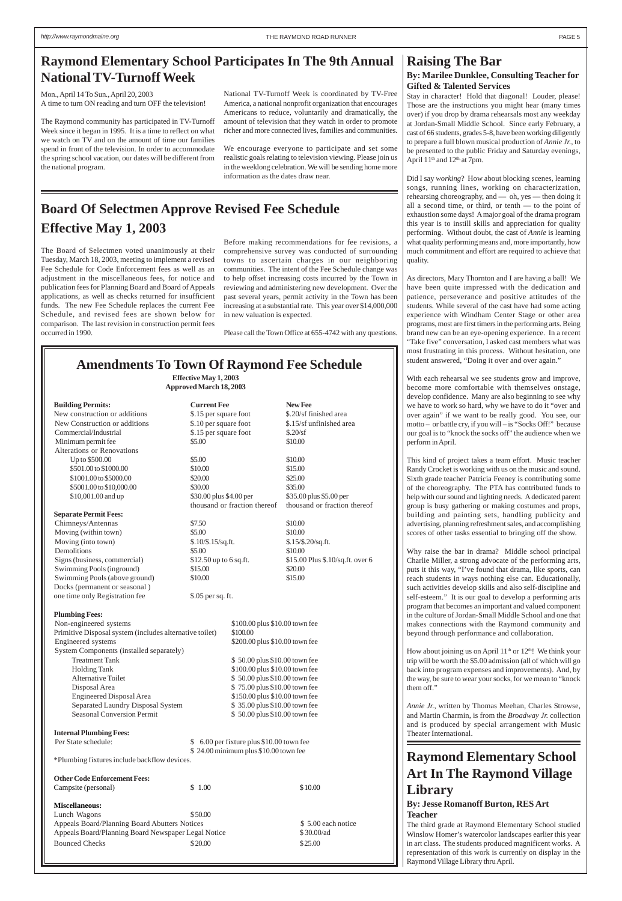## **Board Of Selectmen Approve Revised Fee Schedule Effective May 1, 2003**

The Board of Selectmen voted unanimously at their Tuesday, March 18, 2003, meeting to implement a revised Fee Schedule for Code Enforcement fees as well as an adjustment in the miscellaneous fees, for notice and publication fees for Planning Board and Board of Appeals applications, as well as checks returned for insufficient funds. The new Fee Schedule replaces the current Fee Schedule, and revised fees are shown below for comparison. The last revision in construction permit fees occurred in 1990.

Before making recommendations for fee revisions, a comprehensive survey was conducted of surrounding towns to ascertain charges in our neighboring communities. The intent of the Fee Schedule change was to help offset increasing costs incurred by the Town in reviewing and administering new development. Over the past several years, permit activity in the Town has been increasing at a substantial rate. This year over \$14,000,000 in new valuation is expected.

Please call the Town Office at 655-4742 with any questions.

### **Amendments To Town Of Raymond Fee Schedule**

**Effective May 1, 2003 Approved March 18, 2003** Stay in character! Hold that diagonal! Louder, please! Those are the instructions you might hear (many times over) if you drop by drama rehearsals most any weekday at Jordan-Small Middle School. Since early February, a cast of 66 students, grades 5-8, have been working diligently to prepare a full blown musical production of *Annie Jr.*, to be presented to the public Friday and Saturday evenings, April 11<sup>th</sup> and 12<sup>th,</sup> at 7pm.

| <b>Building Permits:</b>                                | <b>Current Fee</b>          |                                | <b>New Fee</b>                   |
|---------------------------------------------------------|-----------------------------|--------------------------------|----------------------------------|
| New construction or additions                           | \$.15 per square foot       |                                | \$.20/sf finished area           |
| New Construction or additions                           | \$.10 per square foot       |                                | \$.15/sf unfinished area         |
| Commercial/Industrial                                   | \$.15 per square foot       |                                | \$.20/sf                         |
| Minimum permit fee                                      | \$5.00                      |                                | \$10.00                          |
| Alterations or Renovations                              |                             |                                |                                  |
| Up to \$500.00                                          | \$5.00                      |                                | \$10.00                          |
| \$501.00 to \$1000.00                                   | \$10.00                     |                                | \$15.00                          |
| \$1001.00 to \$5000.00                                  | \$20.00                     |                                | \$25.00                          |
| \$5001.00 to \$10,000.00                                | \$30.00                     |                                | \$35.00                          |
| \$10,001.00 and up                                      | \$30.00 plus \$4.00 per     |                                | \$35.00 plus \$5.00 per          |
|                                                         |                             | thousand or fraction thereof   | thousand or fraction thereof     |
| <b>Separate Permit Fees:</b>                            |                             |                                |                                  |
| Chimneys/Antennas                                       | \$7.50                      |                                | \$10.00                          |
| Moving (within town)                                    | \$5.00                      |                                | \$10.00                          |
| Moving (into town)                                      | $$.10/\$.15/\text{sq.fit}.$ |                                | $$.15/\$.20/\text{sq.fit}.$      |
| <b>Demolitions</b>                                      | \$5.00                      |                                | \$10.00                          |
| Signs (business, commercial)                            | \$12.50 up to 6 sq.ft.      |                                | \$15.00 Plus \$.10/sq.ft. over 6 |
| Swimming Pools (inground)                               | \$15.00                     |                                | \$20.00                          |
| Swimming Pools (above ground)                           | \$10.00                     |                                | \$15.00                          |
| Docks (permanent or seasonal)                           |                             |                                |                                  |
| one time only Registration fee                          | \$.05 per sq. ft.           |                                |                                  |
| <b>Plumbing Fees:</b>                                   |                             |                                |                                  |
| Non-engineered systems                                  |                             | \$100.00 plus \$10.00 town fee |                                  |
| Primitive Disposal system (includes alternative toilet) |                             | \$100.00                       |                                  |
| Engineered systems                                      |                             | \$200.00 plus \$10.00 town fee |                                  |
| System Components (installed separately)                |                             |                                |                                  |

Treatment Tank  $$ 50.00 \text{ plus } $10.00 \text{ town fee}$ Holding Tank  $$100.00$  plus \$10.00 town fee Alternative Toilet \$50.00 plus \$10.00 town fee

### **Raising The Bar**

How about joining us on April  $11<sup>th</sup>$  or  $12<sup>th</sup>$ ! We think your trip will be worth the \$5.00 admission (all of which will go back into program expenses and improvements). And, by the way, be sure to wear your socks, for we mean to "knock

### **By: Marilee Dunklee, Consulting Teacher for Gifted & Talented Services**

Did I say *working*? How about blocking scenes, learning songs, running lines, working on characterization, rehearsing choreography, and — oh, yes — then doing it all a second time, or third, or tenth — to the point of exhaustion some days! A major goal of the drama program this year is to instill skills and appreciation for quality performing. Without doubt, the cast of *Annie* is learning what quality performing means and, more importantly, how much commitment and effort are required to achieve that quality.

As directors, Mary Thornton and I are having a ball! We have been quite impressed with the dedication and patience, perseverance and positive attitudes of the students. While several of the cast have had some acting experience with Windham Center Stage or other area programs, most are first timers in the performing arts. Being brand new can be an eye-opening experience. In a recent "Take five" conversation, I asked cast members what was most frustrating in this process. Without hesitation, one student answered, "Doing it over and over again."

|                                                     |                                           |                                | $\cdots$ $\cdots$ , $\cdots$ $\cdots$ $\cdots$ $\cdots$ $\cdots$ $\cdots$ $\cdots$ $\cdots$ $\cdots$ $\cdots$ $\cdots$ $\cdots$ $\cdots$ |
|-----------------------------------------------------|-------------------------------------------|--------------------------------|------------------------------------------------------------------------------------------------------------------------------------------|
| Disposal Area                                       |                                           | \$75.00 plus \$10.00 town fee  | them off."                                                                                                                               |
| Engineered Disposal Area                            |                                           | \$150.00 plus \$10.00 town fee |                                                                                                                                          |
| Separated Laundry Disposal System                   |                                           | \$35.00 plus \$10.00 town fee  | Annie Jr., written by Thomas Meehan, Charles Strowse,                                                                                    |
| <b>Seasonal Conversion Permit</b>                   |                                           | \$50.00 plus \$10.00 town fee  | and Martin Charmin, is from the Broadway Jr. collection                                                                                  |
| <b>Internal Plumbing Fees:</b>                      |                                           |                                | and is produced by special arrangement with Music<br>Theater International.                                                              |
| Per State schedule:                                 | \$ 6.00 per fixture plus \$10.00 town fee |                                |                                                                                                                                          |
|                                                     | \$24.00 minimum plus \$10.00 town fee     |                                |                                                                                                                                          |
| *Plumbing fixtures include backflow devices.        |                                           |                                | <b>Raymond Elementary School</b>                                                                                                         |
| <b>Other Code Enforcement Fees:</b>                 |                                           |                                | <b>Art In The Raymond Village</b>                                                                                                        |
|                                                     | \$1.00                                    | \$10.00                        |                                                                                                                                          |
| Campsite (personal)                                 |                                           |                                | Library                                                                                                                                  |
| <b>Miscellaneous:</b>                               |                                           |                                | <b>By: Jesse Romanoff Burton, RES Art</b>                                                                                                |
| Lunch Wagons                                        | \$50.00                                   |                                | <b>Teacher</b>                                                                                                                           |
| Appeals Board/Planning Board Abutters Notices       |                                           | \$5.00 each notice             | The third grade at Raymond Elementary School studied                                                                                     |
| Appeals Board/Planning Board Newspaper Legal Notice |                                           | $$30.00$ /ad                   | Winslow Homer's watercolor landscapes earlier this year                                                                                  |
| <b>Bounced Checks</b>                               | \$20.00                                   | \$25.00                        | in art class. The students produced magnificent works. A                                                                                 |
|                                                     |                                           |                                | representation of this work is currently on display in the                                                                               |
|                                                     |                                           |                                | Raymond Village Library thru April.                                                                                                      |

With each rehearsal we see students grow and improve, become more comfortable with themselves onstage, develop confidence. Many are also beginning to see why we have to work so hard, why we have to do it "over and over again" if we want to be really good. You see, our motto – or battle cry, if you will – is "Socks Off!" because our goal is to "knock the socks off" the audience when we perform in April.

This kind of project takes a team effort. Music teacher Randy Crocket is working with us on the music and sound. Sixth grade teacher Patricia Feeney is contributing some of the choreography. The PTA has contributed funds to help with our sound and lighting needs. A dedicated parent group is busy gathering or making costumes and props, building and painting sets, handling publicity and advertising, planning refreshment sales, and accomplishing scores of other tasks essential to bringing off the show.

Why raise the bar in drama? Middle school principal Charlie Miller, a strong advocate of the performing arts, puts it this way, "I've found that drama, like sports, can reach students in ways nothing else can. Educationally, such activities develop skills and also self-discipline and self-esteem." It is our goal to develop a performing arts program that becomes an important and valued component in the culture of Jordan-Small Middle School and one that makes connections with the Raymond community and beyond through performance and collaboration.

<span id="page-4-0"></span>Mon., April 14 To Sun., April 20, 2003 A time to turn ON reading and turn OFF the television!

The Raymond community has participated in TV-Turnoff Week since it began in 1995. It is a time to reflect on what we watch on TV and on the amount of time our families spend in front of the television. In order to accommodate the spring school vacation, our dates will be different from the national program.

National TV-Turnoff Week is coordinated by TV-Free America, a national nonprofit organization that encourages Americans to reduce, voluntarily and dramatically, the amount of television that they watch in order to promote richer and more connected lives, families and communities.

We encourage everyone to participate and set some realistic goals relating to television viewing. Please join us in the weeklong celebration. We will be sending home more information as the dates draw near.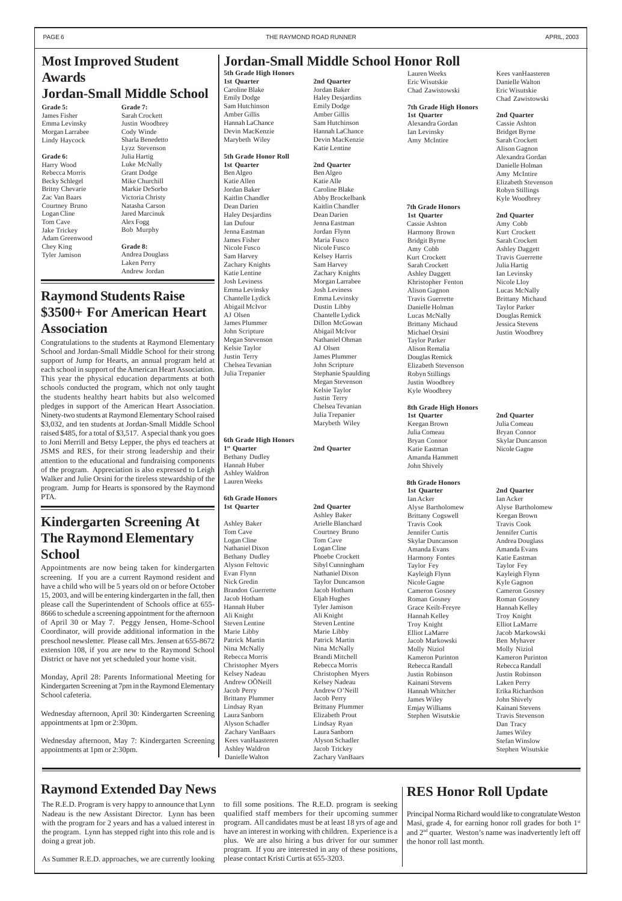### **Raymond Students Raise \$3500+ For American Heart Association**

Congratulations to the students at Raymond Elementary School and Jordan-Small Middle School for their strong support of Jump for Hearts, an annual program held at each school in support of the American Heart Association. This year the physical education departments at both schools conducted the program, which not only taught the students healthy heart habits but also welcomed pledges in support of the American Heart Association. Ninety-two students at Raymond Elementary School raised \$3,032, and ten students at Jordan-Small Middle School raised \$485, for a total of \$3,517. A special thank you goes to Joni Merrill and Betsy Lepper, the phys ed teachers at JSMS and RES, for their strong leadership and their attention to the educational and fundraising components of the program. Appreciation is also expressed to Leigh Walker and Julie Orsini for the tireless stewardship of the program. Jump for Hearts is sponsored by the Raymond PTA.

### **Jordan-Small Middle School Honor Roll**

Julia Trepanier Stephanie Spaulding Megan Stevenson Kelsie Taylor Justin Terry Chelsea Tevanian Julia Trepanier Marybeth Wiley

**5th Grade High Honors 1st Quarter 2nd Quarter** Caroline Blake Jordan Baker Emily Dodge Haley Desjardins Sam Hutchinson Emily Dodge Amber Gillis Amber Gillis Hannah LaChance Sam Hutchinson Devin MacKenzie Hannah LaChance Marybeth Wiley Devin MacKenzie

Katie Lentine

#### **5th Grade Honor Roll**

Lauren Weeks Kees vanHaasteren<br>Eric Wisutskie – Danielle Walton Chad Zawistowski Eric Wisutskie

Danielle Walton Chad Zawistowski

**1st Quarter 2nd Quarter** Ben Algeo Ben Algeo Katie Allen Katie Alle Jordan Baker Caroline Blake Kaitlin Chandler Abby Brockelbank Dean Darien Kaitlin Chandler Haley Desjardins Dean Darien Ian Dufour Jenna Eastman Jenna Eastman Jordan Flynn James Fisher Maria Fusco Nicole Fusco Nicole Fusco Sam Harvey Kelsey Harris Zachary Knights Sam Harvey Katie Lentine Zachary Knights Josh Leviness Morgan Larrabee Emma Levinsky Josh Leviness Chantelle Lydick Emma Levinsky Abigail McIvor Dustin Libby AJ Olsen Chantelle Lydick James Plummer Dillon McGowan John Scripture Abigail McIvor Megan Stevenson Nathaniel Ohman Kelsie Taylor AJ Olsen Justin Terry James Plummer Chelsea Tevanian John Scripture

#### **6th Grade High Honors 1st Quarter 2nd Quarter** Bethany Dudley

Hannah Huber Ashley Waldron Lauren Weeks

#### **6th Grade Honors 1st Quarter 2nd Quarter**

Ashley Baker Arielle Blanchard Tom Cave Courtney Bruno Logan Cline Tom Cave Nathaniel Dixon Logan Cline Bethany Dudley Phoebe Crockett Evan Flynn Nathaniel Dixon Brandon Guerrette Jacob Hotham Jacob Hotham Eljah Hughes Hannah Huber Tyler Jamison Ali Knight Ali Knight Steven Lentine Steven Lentine Marie Libby Marie Libby Patrick Martin Patrick Martin Nina McNally Nina McNally Rebecca Morris Brandi Mitchell Christopher Myers Rebecca Morris

Ashley Baker Alyson Feltovic Sibyl Cunningham Nick Gredin Taylor Duncanson Kelsey Nadeau Christophen Myers

#### **7th Grade High Honors**

**1st Quarter 2nd Quarter** Alexandra Gordan Cassie Ashton Ian Levinsky Bridget Byrne Amy McIntire Sarah Crockett

Alison Gagnon Alexandra Gordan Danielle Holman Amy McIntire Elizabeth Stevenson Robyn Stillings Kyle Woodbrey

**7th Grade Honors**

#### **1st Quarter 2nd Quarter**

Kurt Crockett Travis Guerrette

Cassie Ashton Amy Cobb Harmony Brown Kurt Crockett Bridgit Byrne Sarah Crockett Amy Cobb Ashley Daggett

Sarah Crockett Julia Hartig Ashley Daggett Ian Levinsky Khristopher Fenton Nicole Lloy Alison Gagnon Lucas McNally Travis Guerrette Brittany Michaud Danielle Holman Taylor Parker Lucas McNally Douglas Remick Brittany Michaud Jessica Stevens Michael Orsini Justin Woodbrey Taylor Parker Alison Remalia Douglas Remick Elizabeth Stevenson Robyn Stillings Justin Woodbrey Kyle Woodbrey

#### **8th Grade High Honors**

**1st Quarter 2nd Quarter** Keegan Brown Julia Comeau Julia Comeau Bryan Connor Katie Eastman Nicole Gagne Amanda Hammett John Shively

Bryan Connor Skylar Duncanson

### **8th Grade Honors**

Alyse Bartholomew Alyse Bartholomew

**1st Quarter 2nd Quarter** Ian Acker Ian Acker Brittany Cogswell Keegan Brown Travis Cook Travis Cook Jennifer Curtis Jennifer Curtis Skylar Duncanson Andrea Douglass Amanda Evans Amanda Evans Harmony Fontes Katie Eastman Taylor Fey Taylor Fey Kayleigh Flynn Kayleigh Flynn Nicole Gagne Kyle Gagnon Cameron Gosney Cameron Gosney Roman Gosney **Roman Gosney** Grace Keilt-Freyre Hannah Kelley Hannah Kelley Troy Knight Troy Knight Elliot LaMarre Elliot LaMarre Jacob Markowski Jacob Markowski Ben Myhaver Molly Niziol Molly Niziol Kameron Purinton Kameron Purinton Rebecca Randall Rebecca Randall Justin Robinson Justin Robinson

| Andrew OÖNeill                                        | Kelsey Nadeau           | Kainani Stevens   | Laken Perry             |
|-------------------------------------------------------|-------------------------|-------------------|-------------------------|
| Jacob Perry                                           | Andrew O'Neill          | Hannah Whitcher   | Erika Richardson        |
| <b>Brittany Plummer</b>                               | Jacob Perry             | James Wiley       | John Shively            |
| Lindsay Ryan                                          | <b>Brittany Plummer</b> | Emjay Williams    | Kainani Stevens         |
| Laura Sanborn                                         | Elizabeth Prout         | Stephen Wisutskie | <b>Travis Stevenson</b> |
| Alyson Schadler                                       | Lindsay Ryan            |                   | Dan Tracy               |
| Zachary VanBaars                                      | Laura Sanborn           |                   | James Wiley             |
| Kees vanHaasteren                                     | Alyson Schadler         |                   | <b>Stefan Winslow</b>   |
| Ashley Waldron                                        | Jacob Trickey           |                   | Stephen Wisutskie       |
| Danielle Walton                                       | Zachary VanBaars        |                   |                         |
| Wednesday afternoon, April 30: Kindergarten Screening |                         |                   |                         |

## <span id="page-5-0"></span>**Most Improved Student Awards Jordan-Small Middle School**

**Grade 5:** James Fisher Emma Levinsky Morgan Larrabee Lindy Haycock

**Grade 6:** Harry Wood Rebecca Morris Becky Schlegel Britny Chevarie Zac Van Baars Courtney Bruno Logan Cline Tom Cave Jake Trickey Adam Greenwood Chey King Tyler Jamison

**Grade 7:** Sarah Crockett Justin Woodbrey Cody Winde Sharla Benedetto Lyzz Stevenson Julia Hartig Luke McNally Grant Dodge Mike Churchill Markie DeSorbo Victoria Christy Natasha Carson Jared Marcinuk Alex Fogg Bob Murphy

### **Grade 8:** Andrea Douglass

Laken Perry Andrew Jordan

### **Kindergarten Screening At The Raymond Elementary School**

Appointments are now being taken for kindergarten screening. If you are a current Raymond resident and have a child who will be 5 years old on or before October 15, 2003, and will be entering kindergarten in the fall, then please call the Superintendent of Schools office at 655- 8666 to schedule a screening appointment for the afternoon of April 30 or May 7. Peggy Jensen, Home-School Coordinator, will provide additional information in the preschool newsletter. Please call Mrs. Jensen at 655-8672 extension 108, if you are new to the Raymond School District or have not yet scheduled your home visit.

Monday, April 28: Parents Informational Meeting for

### **RES Honor Roll Update**

Principal Norma Richard would like to congratulate Weston Masi, grade 4, for earning honor roll grades for both  $1<sup>st</sup>$ and 2nd quarter. Weston's name was inadvertently left off the honor roll last month.

### **Raymond Extended Day News**

The R.E.D. Program is very happy to announce that Lynn Nadeau is the new Assistant Director. Lynn has been with the program for 2 years and has a valued interest in the program. Lynn has stepped right into this role and is doing a great job.

As Summer R.E.D. approaches, we are currently looking

to fill some positions. The R.E.D. program is seeking qualified staff members for their upcoming summer program. All candidates must be at least 18 yrs of age and have an interest in working with children. Experience is a plus. We are also hiring a bus driver for our summer program. If you are interested in any of these positions, please contact Kristi Curtis at 655-3203.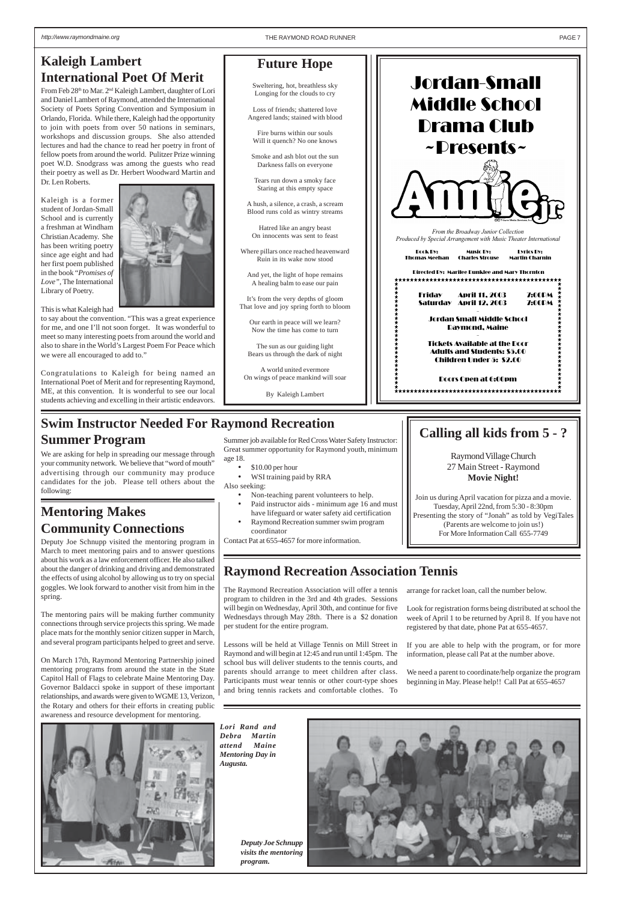<span id="page-6-0"></span>

## **Swim Instructor Needed For Raymond Recreation**

### **Summer Program**

### **Raymond Recreation Association Tennis**

We need a parent to coordinate/help organize the program beginning in May. Please help!! Call Pat at 655-465'



The Raymond Recreation Association will offer a tennis program to children in the 3rd and 4th grades. Sessions will begin on Wednesday, April 30th, and continue for five Wednesdays through May 28th. There is a \$2 donation per student for the entire program.

Lessons will be held at Village Tennis on Mill Street in Raymond and will begin at 12:45 and run until 1:45pm. The school bus will deliver students to the tennis courts, and parents should arrange to meet children after class. Participants must wear tennis or other court-type shoes

From Feb 28<sup>th</sup> to Mar. 2<sup>nd</sup> Kaleigh Lambert, daughter of Lori and Daniel Lambert of Raymond, attended the International Society of Poets Spring Convention and Symposium in Orlando, Florida. While there, Kaleigh had the opportunity to join with poets from over 50 nations in seminars, workshops and discussion groups. She also attended lectures and had the chance to read her poetry in front of fellow poets from around the world. Pulitzer Prize winning poet W.D. Snodgrass was among the guests who read their poetry as well as Dr. Herbert Woodward Martin and Dr. Len Roberts.

and bring tennis rackets and comfortable clothes. To



arrange for racket loan, call the number below.

Look for registration forms being distributed at school the week of April 1 to be returned by April 8. If you have not registered by that date, phone Pat at 655-4657.

If you are able to help with the program, or for more information, please call Pat at the number above.

### **Kaleigh Lambert International Poet Of Merit**



Kaleigh is a former student of Jordan-Small School and is currently a freshman at Windham Christian Academy. She has been writing poetry since age eight and had her first poem published in the book "*Promises of Love"*, The International Library of Poetry.



This is what Kaleigh had

to say about the convention. "This was a great experience for me, and one I'll not soon forget. It was wonderful to meet so many interesting poets from around the world and also to share in the World's Largest Poem For Peace which we were all encouraged to add to."

Congratulations to Kaleigh for being named an International Poet of Merit and for representing Raymond, ME, at this convention. It is wonderful to see our local students achieving and excelling in their artistic endeavors.

### **Mentoring Makes Community Connections**

Deputy Joe Schnupp visited the mentoring program in March to meet mentoring pairs and to answer questions about his work as a law enforcement officer. He also talked about the danger of drinking and driving and demonstrated the effects of using alcohol by allowing us to try on special goggles. We look forward to another visit from him in the spring.

The mentoring pairs will be making further community connections through service projects this spring. We made place mats for the monthly senior citizen supper in March, and several program participants helped to greet and serve.

On March 17th, Raymond Mentoring Partnership joined mentoring programs from around the state in the State Capitol Hall of Flags to celebrate Maine Mentoring Day. Governor Baldacci spoke in support of these important relationships, and awards were given to WGME 13, Verizon, the Rotary and others for their efforts in creating public awareness and resource development for mentoring.

*Deputy Joe Schnupp visits the mentoring program.*

*Lori Rand and Debra Martin attend Maine Mentoring Day in Augusta.*

A world united evermore

By Kaleigh Lambert

We are asking for help in spreading our message through your community network. We believe that "word of mouth" advertising through our community may produce candidates for the job. Please tell others about the following:

Summer job available for Red Cross Water Safety Instructor: Great summer opportunity for Raymond youth, minimum age 18.

- \$10.00 per hour
- WSI training paid by RRA

Also seeking:

- Non-teaching parent volunteers to help.
- Paid instructor aids minimum age 16 and must have lifeguard or water safety aid certification
- Raymond Recreation summer swim program coordinator

Contact Pat at 655-4657 for more information.

### **Calling all kids from 5 - ?**

Raymond Village Church 27 Main Street - Raymond **Movie Night!**

Join us during April vacation for pizza and a movie. Tuesday, April 22nd, from 5:30 - 8:30pm Presenting the story of "Jonah" as told by VegiTales (Parents are welcome to join us!) For More Information Call 655-7749